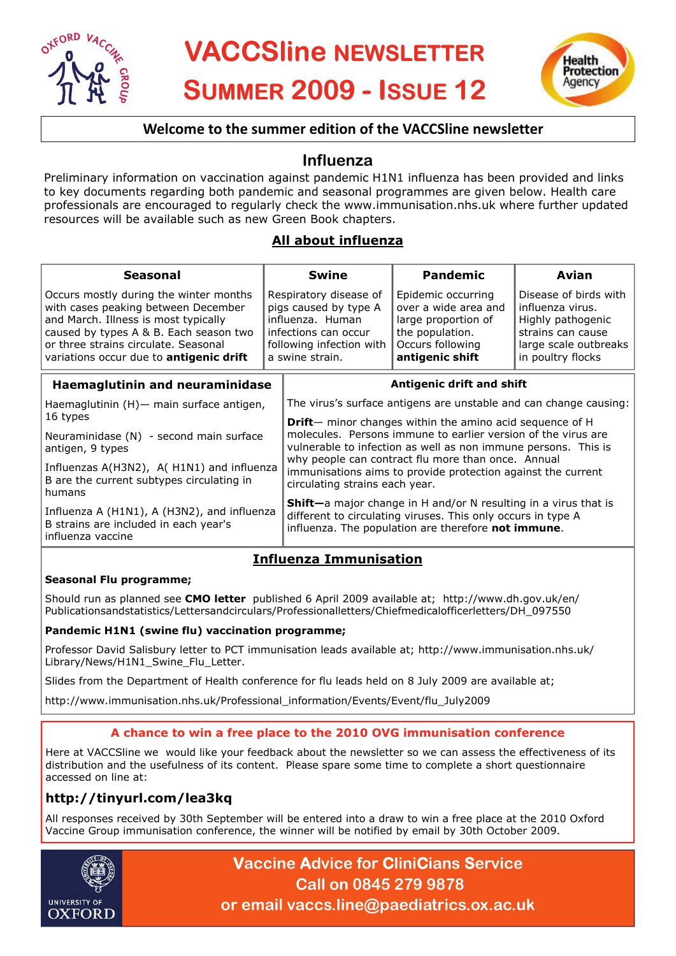



## **Welcome to the summer edition of the VACCSline newsletter**

# **Influenza**

Preliminary information on vaccination against pandemic H1N1 influenza has been provided and links to key documents regarding both pandemic and seasonal programmes are given below. Health care professionals are encouraged to regularly check the www.immunisation.nhs.uk where further updated resources will be available such as new Green Book chapters.

## **All about influenza**

| <b>Seasonal</b>                                                                                                                                                                                                                                           |                                                                                                                                                                                                                                                                                         | Swine                                                                                                                                                                                          | <b>Pandemic</b>                                                                                                             | Avian                                                                                                                             |
|-----------------------------------------------------------------------------------------------------------------------------------------------------------------------------------------------------------------------------------------------------------|-----------------------------------------------------------------------------------------------------------------------------------------------------------------------------------------------------------------------------------------------------------------------------------------|------------------------------------------------------------------------------------------------------------------------------------------------------------------------------------------------|-----------------------------------------------------------------------------------------------------------------------------|-----------------------------------------------------------------------------------------------------------------------------------|
| Occurs mostly during the winter months<br>with cases peaking between December<br>and March. Illness is most typically<br>caused by types A & B. Each season two<br>or three strains circulate. Seasonal<br>variations occur due to <b>antigenic drift</b> | Respiratory disease of<br>pigs caused by type A<br>influenza. Human<br>infections can occur<br>following infection with<br>a swine strain.                                                                                                                                              |                                                                                                                                                                                                | Epidemic occurring<br>over a wide area and<br>large proportion of<br>the population.<br>Occurs following<br>antigenic shift | Disease of birds with<br>influenza virus.<br>Highly pathogenic<br>strains can cause<br>large scale outbreaks<br>in poultry flocks |
| Haemaglutinin and neuraminidase                                                                                                                                                                                                                           |                                                                                                                                                                                                                                                                                         |                                                                                                                                                                                                | Antigenic drift and shift                                                                                                   |                                                                                                                                   |
| Haemaglutinin (H) - main surface antigen,<br>16 types                                                                                                                                                                                                     |                                                                                                                                                                                                                                                                                         | The virus's surface antigens are unstable and can change causing:                                                                                                                              |                                                                                                                             |                                                                                                                                   |
|                                                                                                                                                                                                                                                           |                                                                                                                                                                                                                                                                                         | <b>Drift</b> — minor changes within the amino acid sequence of H                                                                                                                               |                                                                                                                             |                                                                                                                                   |
| Neuraminidase (N) - second main surface<br>antigen, 9 types                                                                                                                                                                                               | molecules. Persons immune to earlier version of the virus are<br>vulnerable to infection as well as non immune persons. This is<br>why people can contract flu more than once. Annual<br>immunisations aims to provide protection against the current<br>circulating strains each year. |                                                                                                                                                                                                |                                                                                                                             |                                                                                                                                   |
| Influenzas A(H3N2), A(H1N1) and influenza<br>B are the current subtypes circulating in<br>humans<br>Influenza A (H1N1), A (H3N2), and influenza<br>B strains are included in each year's<br>influenza vaccine                                             |                                                                                                                                                                                                                                                                                         |                                                                                                                                                                                                |                                                                                                                             |                                                                                                                                   |
|                                                                                                                                                                                                                                                           |                                                                                                                                                                                                                                                                                         | <b>Shift</b> —a major change in H and/or N resulting in a virus that is<br>different to circulating viruses. This only occurs in type A<br>influenza. The population are therefore not immune. |                                                                                                                             |                                                                                                                                   |

## **Influenza Immunisation**

### **Seasonal Flu programme;**

Should run as planned see **CMO letter** published 6 April 2009 available at; http://www.dh.gov.uk/en/ Publicationsandstatistics/Lettersandcirculars/Professionalletters/Chiefmedicalofficerletters/DH\_097550

#### **Pandemic H1N1 (swine flu) vaccination programme;**

Professor David Salisbury letter to PCT immunisation leads available at; http://www.immunisation.nhs.uk/ Library/News/H1N1\_Swine\_Flu\_Letter.

Slides from the Department of Health conference for flu leads held on 8 July 2009 are available at;

http://www.immunisation.nhs.uk/Professional\_information/Events/Event/flu\_July2009

### **A chance to win a free place to the 2010 OVG immunisation conference**

Here at VACCSline we would like your feedback about the newsletter so we can assess the effectiveness of its distribution and the usefulness of its content. Please spare some time to complete a short questionnaire accessed on line at:

## **http://tinyurl.com/lea3kq**

All responses received by 30th September will be entered into a draw to win a free place at the 2010 Oxford Vaccine Group immunisation conference, the winner will be notified by email by 30th October 2009.



**Vaccine Advice for CliniCians Service Call on 0845 279 9878 or email vaccs.line@paediatrics.ox.ac.uk**